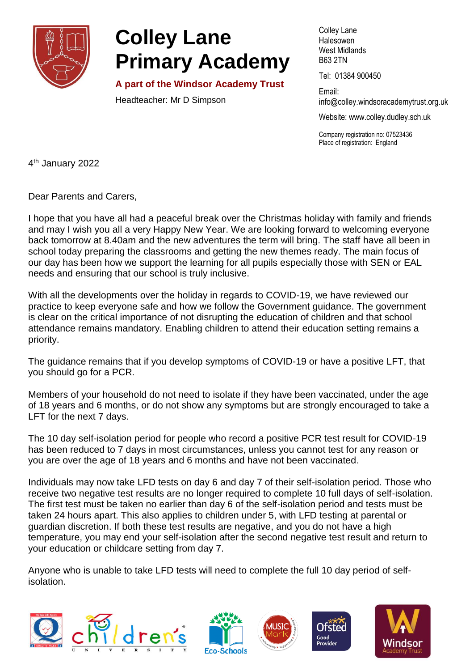

## **Colley Lane Primary Academy**

**A part of the Windsor Academy Trust**

Headteacher: Mr D Simpson

Colley Lane **Halesowen** West Midlands B63 2TN

Tel: 01384 900450

Email: info@colley[.windsoracademytrust.org.uk](http://www.windsoracademytrust.org.uk/)

Website: www.colley.dudley.sch.uk

Company registration no: 07523436 Place of registration: England

4<sup>th</sup> January 2022

Dear Parents and Carers,

I hope that you have all had a peaceful break over the Christmas holiday with family and friends and may I wish you all a very Happy New Year. We are looking forward to welcoming everyone back tomorrow at 8.40am and the new adventures the term will bring. The staff have all been in school today preparing the classrooms and getting the new themes ready. The main focus of our day has been how we support the learning for all pupils especially those with SEN or EAL needs and ensuring that our school is truly inclusive.

With all the developments over the holiday in regards to COVID-19, we have reviewed our practice to keep everyone safe and how we follow the Government guidance. The government is clear on the critical importance of not disrupting the education of children and that school attendance remains mandatory. Enabling children to attend their education setting remains a priority.

The guidance remains that if you develop symptoms of COVID-19 or have a positive LFT, that you should go for a PCR.

Members of your household do not need to isolate if they have been vaccinated, under the age of 18 years and 6 months, or do not show any symptoms but are strongly encouraged to take a LFT for the next 7 days.

The 10 day self-isolation period for people who record a positive PCR test result for COVID-19 has been reduced to 7 days in most circumstances, unless you cannot test for any reason or you are over the age of 18 years and 6 months and have not been vaccinated.

Individuals may now take LFD tests on day 6 and day 7 of their self-isolation period. Those who receive two negative test results are no longer required to complete 10 full days of self-isolation. The first test must be taken no earlier than day 6 of the self-isolation period and tests must be taken 24 hours apart. This also applies to children under 5, with LFD testing at parental or guardian discretion. If both these test results are negative, and you do not have a high temperature, you may end your self-isolation after the second negative test result and return to your education or childcare setting from day 7.

Anyone who is unable to take LFD tests will need to complete the full 10 day period of selfisolation.